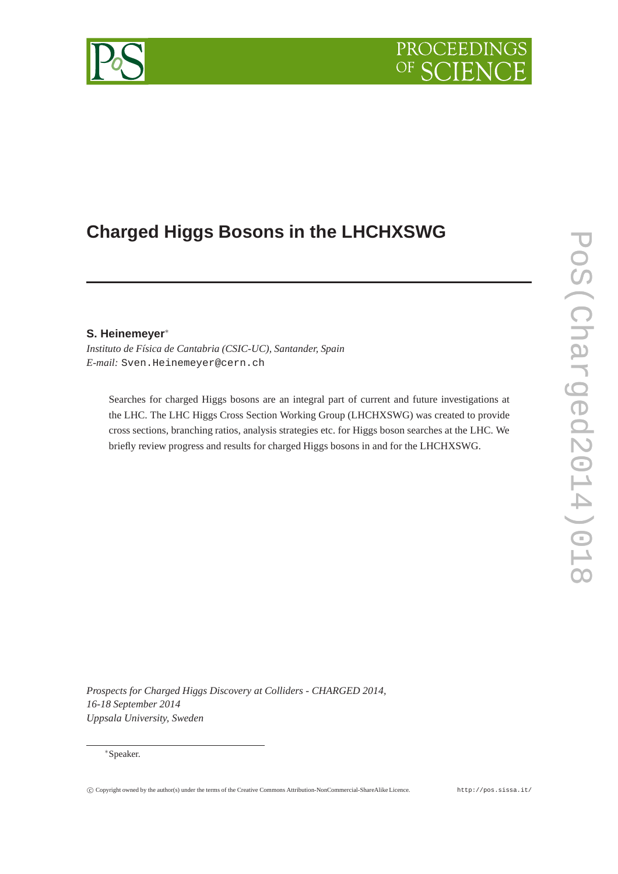# PROCEEDIN

# **Charged Higgs Bosons in the LHCHXSWG**

## **S. Heinemeyer**∗

*Instituto de Física de Cantabria (CSIC-UC), Santander, Spain E-mail:* Sven.Heinemeyer@cern.ch

Searches for charged Higgs bosons are an integral part of current and future investigations at the LHC. The LHC Higgs Cross Section Working Group (LHCHXSWG) was created to provide cross sections, branching ratios, analysis strategies etc. for Higgs boson searches at the LHC. We briefly review progress and results for charged Higgs bosons in and for the LHCHXSWG.

*Prospects for Charged Higgs Discovery at Colliders - CHARGED 2014, 16-18 September 2014 Uppsala University, Sweden*

#### ∗Speaker.

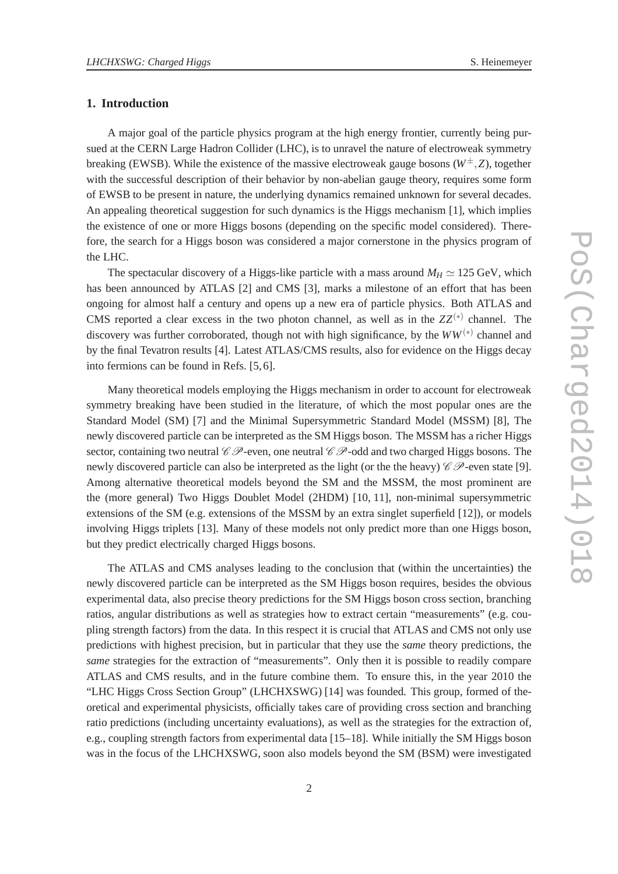### **1. Introduction**

A major goal of the particle physics program at the high energy frontier, currently being pursued at the CERN Large Hadron Collider (LHC), is to unravel the nature of electroweak symmetry breaking (EWSB). While the existence of the massive electroweak gauge bosons ( $W^{\pm}$ , *Z*), together with the successful description of their behavior by non-abelian gauge theory, requires some form of EWSB to be present in nature, the underlying dynamics remained unknown for several decades. An appealing theoretical suggestion for such dynamics is the Higgs mechanism [1], which implies the existence of one or more Higgs bosons (depending on the specific model considered). Therefore, the search for a Higgs boson was considered a major cornerstone in the physics program of the LHC.

The spectacular discovery of a Higgs-like particle with a mass around  $M_H \simeq 125$  GeV, which has been announced by ATLAS [2] and CMS [3], marks a milestone of an effort that has been ongoing for almost half a century and opens up a new era of particle physics. Both ATLAS and CMS reported a clear excess in the two photon channel, as well as in the  $ZZ^{(*)}$  channel. The discovery was further corroborated, though not with high significance, by the *WW*(∗) channel and by the final Tevatron results [4]. Latest ATLAS/CMS results, also for evidence on the Higgs decay into fermions can be found in Refs. [5, 6].

Many theoretical models employing the Higgs mechanism in order to account for electroweak symmetry breaking have been studied in the literature, of which the most popular ones are the Standard Model (SM) [7] and the Minimal Supersymmetric Standard Model (MSSM) [8], The newly discovered particle can be interpreted as the SM Higgs boson. The MSSM has a richer Higgs sector, containing two neutral  $\mathscr{C} \mathscr{P}$ -even, one neutral  $\mathscr{C} \mathscr{P}$ -odd and two charged Higgs bosons. The newly discovered particle can also be interpreted as the light (or the the heavy)  $\mathscr{C}P$ -even state [9]. Among alternative theoretical models beyond the SM and the MSSM, the most prominent are the (more general) Two Higgs Doublet Model (2HDM) [10, 11], non-minimal supersymmetric extensions of the SM (e.g. extensions of the MSSM by an extra singlet superfield [12]), or models involving Higgs triplets [13]. Many of these models not only predict more than one Higgs boson, but they predict electrically charged Higgs bosons.

The ATLAS and CMS analyses leading to the conclusion that (within the uncertainties) the newly discovered particle can be interpreted as the SM Higgs boson requires, besides the obvious experimental data, also precise theory predictions for the SM Higgs boson cross section, branching ratios, angular distributions as well as strategies how to extract certain "measurements" (e.g. coupling strength factors) from the data. In this respect it is crucial that ATLAS and CMS not only use predictions with highest precision, but in particular that they use the *same* theory predictions, the *same* strategies for the extraction of "measurements". Only then it is possible to readily compare ATLAS and CMS results, and in the future combine them. To ensure this, in the year 2010 the "LHC Higgs Cross Section Group" (LHCHXSWG) [14] was founded. This group, formed of theoretical and experimental physicists, officially takes care of providing cross section and branching ratio predictions (including uncertainty evaluations), as well as the strategies for the extraction of, e.g., coupling strength factors from experimental data [15–18]. While initially the SM Higgs boson was in the focus of the LHCHXSWG, soon also models beyond the SM (BSM) were investigated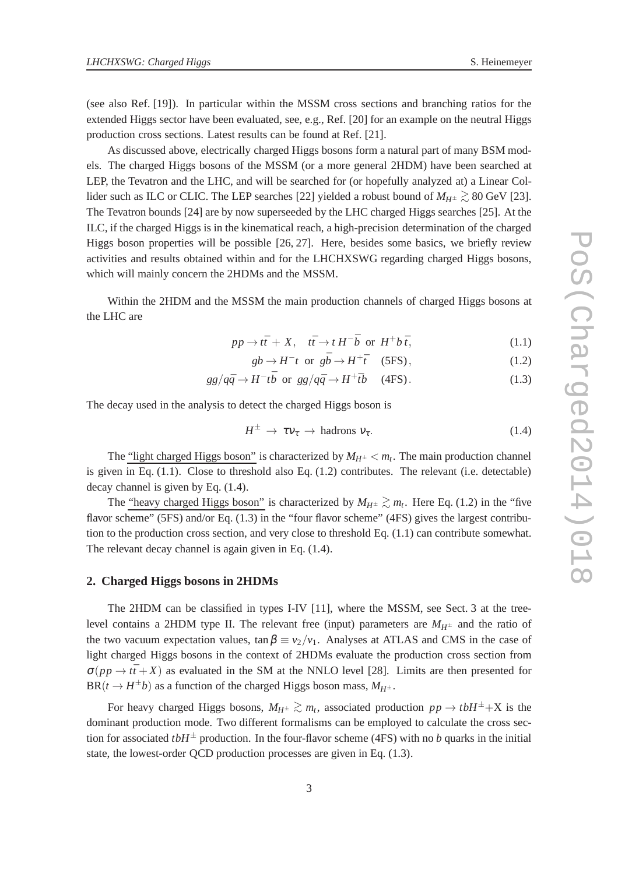(see also Ref. [19]). In particular within the MSSM cross sections and branching ratios for the extended Higgs sector have been evaluated, see, e.g., Ref. [20] for an example on the neutral Higgs production cross sections. Latest results can be found at Ref. [21].

As discussed above, electrically charged Higgs bosons form a natural part of many BSM models. The charged Higgs bosons of the MSSM (or a more general 2HDM) have been searched at LEP, the Tevatron and the LHC, and will be searched for (or hopefully analyzed at) a Linear Collider such as ILC or CLIC. The LEP searches [22] yielded a robust bound of  $M_{H^{\pm}} \gtrsim 80$  GeV [23]. The Tevatron bounds [24] are by now superseeded by the LHC charged Higgs searches [25]. At the ILC, if the charged Higgs is in the kinematical reach, a high-precision determination of the charged Higgs boson properties will be possible [26, 27]. Here, besides some basics, we briefly review activities and results obtained within and for the LHCHXSWG regarding charged Higgs bosons, which will mainly concern the 2HDMs and the MSSM.

Within the 2HDM and the MSSM the main production channels of charged Higgs bosons at the LHC are

$$
pp \to t\bar{t} + X, \quad t\bar{t} \to t H^{-} \bar{b} \text{ or } H^{+} b \bar{t}, \tag{1.1}
$$

$$
gb \rightarrow H^- t
$$
 or  $g\bar{b} \rightarrow H^+\bar{t}$  (5FS), (1.2)

$$
gg/q\bar{q} \to H^-t\bar{b} \text{ or } gg/q\bar{q} \to H^+\bar{t}b \quad (4\text{FS}).\tag{1.3}
$$

The decay used in the analysis to detect the charged Higgs boson is

$$
H^{\pm} \to \tau \nu_{\tau} \to \text{hadrons } \nu_{\tau}. \tag{1.4}
$$

The "light charged Higgs boson" is characterized by  $M_{H^{\pm}} < m_t$ . The main production channel is given in Eq.  $(1.1)$ . Close to threshold also Eq.  $(1.2)$  contributes. The relevant  $(i.e.$  detectable) decay channel is given by Eq. (1.4).

The "heavy charged Higgs boson" is characterized by  $M_{H^{\pm}} \gtrsim m_t$ . Here Eq. (1.2) in the "five flavor scheme" (5FS) and/or Eq. (1.3) in the "four flavor scheme" (4FS) gives the largest contribution to the production cross section, and very close to threshold Eq. (1.1) can contribute somewhat. The relevant decay channel is again given in Eq.  $(1.4)$ .

#### **2. Charged Higgs bosons in 2HDMs**

The 2HDM can be classified in types I-IV [11], where the MSSM, see Sect. 3 at the treelevel contains a 2HDM type II. The relevant free (input) parameters are  $M_{H^{\pm}}$  and the ratio of the two vacuum expectation values, tan  $\beta \equiv v_2/v_1$ . Analyses at ATLAS and CMS in the case of light charged Higgs bosons in the context of 2HDMs evaluate the production cross section from  $\sigma(pp \rightarrow t\bar{t} + X)$  as evaluated in the SM at the NNLO level [28]. Limits are then presented for  $BR(t \to H^{\pm}b)$  as a function of the charged Higgs boson mass,  $M_{H^{\pm}}$ .

For heavy charged Higgs bosons,  $M_{H^{\pm}} \gtrsim m_t$ , associated production  $pp \to tbH^{\pm}+X$  is the dominant production mode. Two different formalisms can be employed to calculate the cross section for associated *tbH*<sup> $\pm$ </sup> production. In the four-flavor scheme (4FS) with no *b* quarks in the initial state, the lowest-order QCD production processes are given in Eq. (1.3).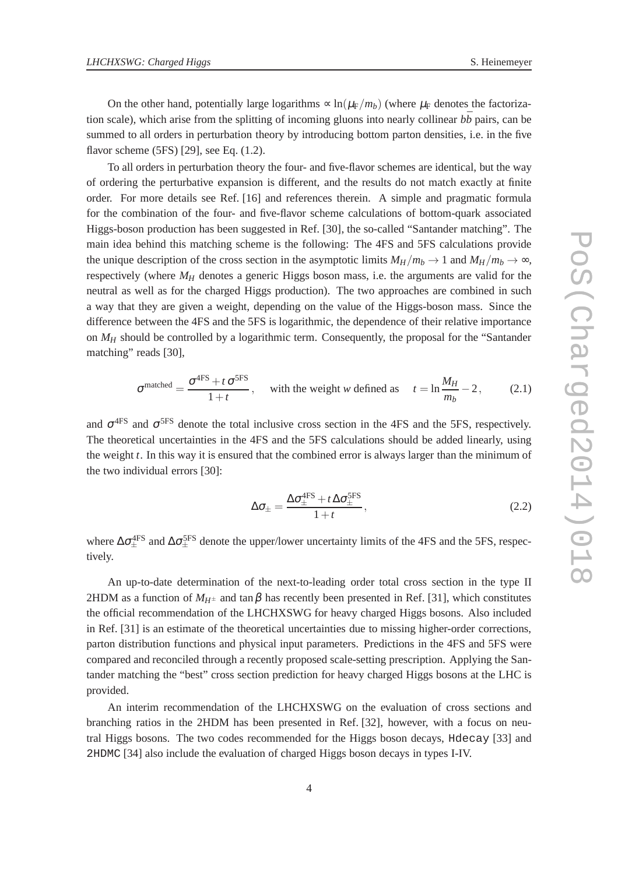On the other hand, potentially large logarithms  $\propto \ln(\mu_F/m_b)$  (where  $\mu_F$  denotes the factorization scale), which arise from the splitting of incoming gluons into nearly collinear  $b\bar{b}$  pairs, can be summed to all orders in perturbation theory by introducing bottom parton densities, i.e. in the five flavor scheme (5FS) [29], see Eq. (1.2).

To all orders in perturbation theory the four- and five-flavor schemes are identical, but the way of ordering the perturbative expansion is different, and the results do not match exactly at finite order. For more details see Ref. [16] and references therein. A simple and pragmatic formula for the combination of the four- and five-flavor scheme calculations of bottom-quark associated Higgs-boson production has been suggested in Ref. [30], the so-called "Santander matching". The main idea behind this matching scheme is the following: The 4FS and 5FS calculations provide the unique description of the cross section in the asymptotic limits  $M_H/m_b \to 1$  and  $M_H/m_b \to \infty$ , respectively (where  $M_H$  denotes a generic Higgs boson mass, i.e. the arguments are valid for the neutral as well as for the charged Higgs production). The two approaches are combined in such a way that they are given a weight, depending on the value of the Higgs-boson mass. Since the difference between the 4FS and the 5FS is logarithmic, the dependence of their relative importance on *M<sup>H</sup>* should be controlled by a logarithmic term. Consequently, the proposal for the "Santander matching" reads [30],

$$
\sigma^{\text{matched}} = \frac{\sigma^{\text{4FS}} + t \sigma^{\text{5FS}}}{1 + t}, \quad \text{with the weight } w \text{ defined as } t = \ln \frac{M_H}{m_b} - 2, \quad (2.1)
$$

and  $\sigma$ <sup>4FS</sup> and  $\sigma$ <sup>5FS</sup> denote the total inclusive cross section in the 4FS and the 5FS, respectively. The theoretical uncertainties in the 4FS and the 5FS calculations should be added linearly, using the weight *t*. In this way it is ensured that the combined error is always larger than the minimum of the two individual errors [30]:

$$
\Delta \sigma_{\pm} = \frac{\Delta \sigma_{\pm}^{\text{AFS}} + t \Delta \sigma_{\pm}^{\text{SFS}}}{1 + t},
$$
\n(2.2)

where  $\Delta \sigma_{\pm}^{4FS}$  and  $\Delta \sigma_{\pm}^{5FS}$  denote the upper/lower uncertainty limits of the 4FS and the 5FS, respectively.

An up-to-date determination of the next-to-leading order total cross section in the type II 2HDM as a function of  $M_{H^{\pm}}$  and tan  $\beta$  has recently been presented in Ref. [31], which constitutes the official recommendation of the LHCHXSWG for heavy charged Higgs bosons. Also included in Ref. [31] is an estimate of the theoretical uncertainties due to missing higher-order corrections, parton distribution functions and physical input parameters. Predictions in the 4FS and 5FS were compared and reconciled through a recently proposed scale-setting prescription. Applying the Santander matching the "best" cross section prediction for heavy charged Higgs bosons at the LHC is provided.

An interim recommendation of the LHCHXSWG on the evaluation of cross sections and branching ratios in the 2HDM has been presented in Ref. [32], however, with a focus on neutral Higgs bosons. The two codes recommended for the Higgs boson decays, Hdecay [33] and 2HDMC [34] also include the evaluation of charged Higgs boson decays in types I-IV.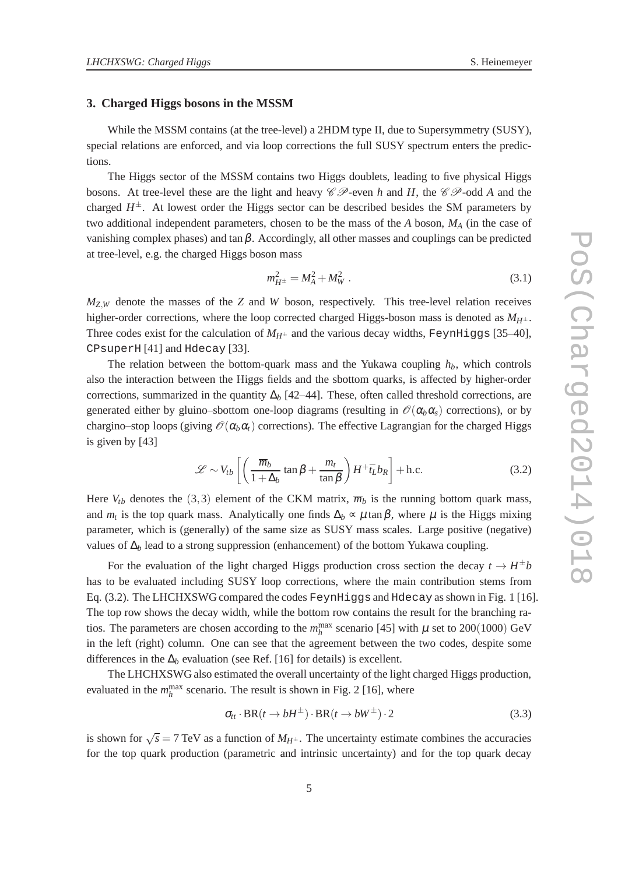#### **3. Charged Higgs bosons in the MSSM**

While the MSSM contains (at the tree-level) a 2HDM type II, due to Supersymmetry (SUSY), special relations are enforced, and via loop corrections the full SUSY spectrum enters the predictions.

The Higgs sector of the MSSM contains two Higgs doublets, leading to five physical Higgs bosons. At tree-level these are the light and heavy  $\mathscr{CD}$ -even *h* and *H*, the  $\mathscr{CD}$ -odd *A* and the charged *H* ±. At lowest order the Higgs sector can be described besides the SM parameters by two additional independent parameters, chosen to be the mass of the *A* boson, *M<sup>A</sup>* (in the case of vanishing complex phases) and tan $β$ . Accordingly, all other masses and couplings can be predicted at tree-level, e.g. the charged Higgs boson mass

$$
m_{H^{\pm}}^2 = M_A^2 + M_W^2 \tag{3.1}
$$

 $M_{ZW}$  denote the masses of the *Z* and *W* boson, respectively. This tree-level relation receives higher-order corrections, where the loop corrected charged Higgs-boson mass is denoted as  $M_{H^{\pm}}$ . Three codes exist for the calculation of  $M_{H^{\pm}}$  and the various decay widths, FeynHiggs [35–40], CPsuperH [41] and Hdecay [33].

The relation between the bottom-quark mass and the Yukawa coupling  $h_b$ , which controls also the interaction between the Higgs fields and the sbottom quarks, is affected by higher-order corrections, summarized in the quantity  $\Delta_b$  [42–44]. These, often called threshold corrections, are generated either by gluino–sbottom one-loop diagrams (resulting in  $\mathcal{O}(\alpha_b \alpha_s)$  corrections), or by chargino–stop loops (giving  $\mathcal{O}(\alpha_b \alpha_f)$  corrections). The effective Lagrangian for the charged Higgs is given by [43]

$$
\mathcal{L} \sim V_{tb} \left[ \left( \frac{\overline{m}_b}{1 + \Delta_b} \tan \beta + \frac{m_t}{\tan \beta} \right) H^+ \overline{t}_L b_R \right] + \text{h.c.}
$$
 (3.2)

Here  $V_{tb}$  denotes the (3,3) element of the CKM matrix,  $\overline{m}_b$  is the running bottom quark mass, and  $m_t$  is the top quark mass. Analytically one finds  $\Delta_b \propto \mu \tan \beta$ , where  $\mu$  is the Higgs mixing parameter, which is (generally) of the same size as SUSY mass scales. Large positive (negative) values of  $\Delta_b$  lead to a strong suppression (enhancement) of the bottom Yukawa coupling.

For the evaluation of the light charged Higgs production cross section the decay  $t \rightarrow H^{\pm}b$ has to be evaluated including SUSY loop corrections, where the main contribution stems from Eq. (3.2). The LHCHXSWG compared the codes FeynHiggs and Hdecay as shown in Fig. 1 [16]. The top row shows the decay width, while the bottom row contains the result for the branching ratios. The parameters are chosen according to the  $m_h^{\text{max}}$  scenario [45] with  $\mu$  set to 200(1000) GeV in the left (right) column. One can see that the agreement between the two codes, despite some differences in the  $\Delta_b$  evaluation (see Ref. [16] for details) is excellent.

The LHCHXSWG also estimated the overall uncertainty of the light charged Higgs production, evaluated in the  $m_h^{\text{max}}$  scenario. The result is shown in Fig. 2 [16], where

$$
\sigma_{tt} \cdot BR(t \to bH^{\pm}) \cdot BR(t \to bW^{\pm}) \cdot 2 \tag{3.3}
$$

is shown for  $\sqrt{s} = 7$  TeV as a function of  $M_{H^{\pm}}$ . The uncertainty estimate combines the accuracies for the top quark production (parametric and intrinsic uncertainty) and for the top quark decay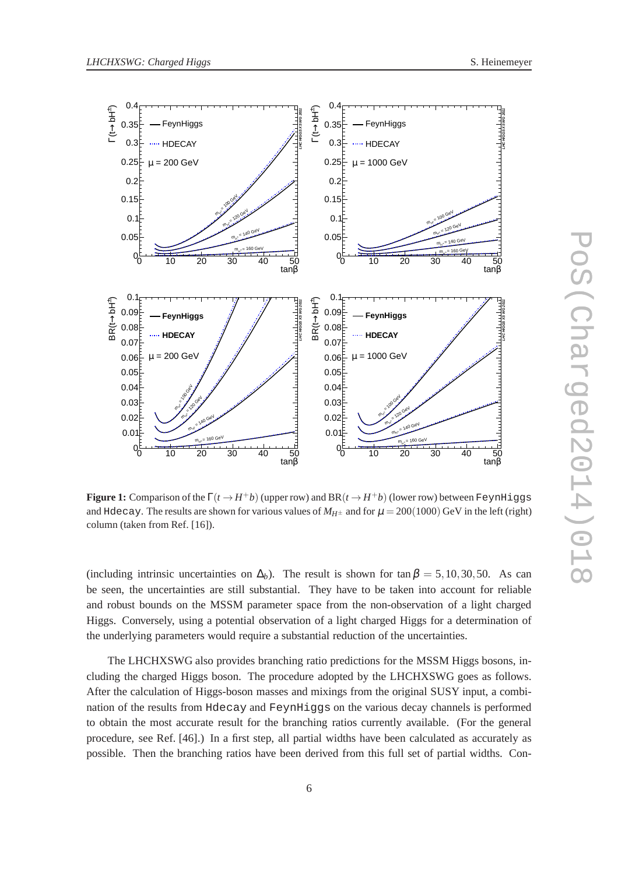

**Figure 1:** Comparison of the  $\Gamma(t \to H^+b)$  (upper row) and  $\text{BR}(t \to H^+b)$  (lower row) between FeynHiggs and Hdecay. The results are shown for various values of  $M_{H^{\pm}}$  and for  $\mu = 200(1000)$  GeV in the left (right) column (taken from Ref. [16]).

(including intrinsic uncertainties on  $\Delta_b$ ). The result is shown for tan  $\beta = 5, 10, 30, 50$ . As can be seen, the uncertainties are still substantial. They have to be taken into account for reliable and robust bounds on the MSSM parameter space from the non-observation of a light charged Higgs. Conversely, using a potential observation of a light charged Higgs for a determination of the underlying parameters would require a substantial reduction of the uncertainties.

The LHCHXSWG also provides branching ratio predictions for the MSSM Higgs bosons, including the charged Higgs boson. The procedure adopted by the LHCHXSWG goes as follows. After the calculation of Higgs-boson masses and mixings from the original SUSY input, a combination of the results from Hdecay and FeynHiggs on the various decay channels is performed to obtain the most accurate result for the branching ratios currently available. (For the general procedure, see Ref. [46].) In a first step, all partial widths have been calculated as accurately as possible. Then the branching ratios have been derived from this full set of partial widths. Con-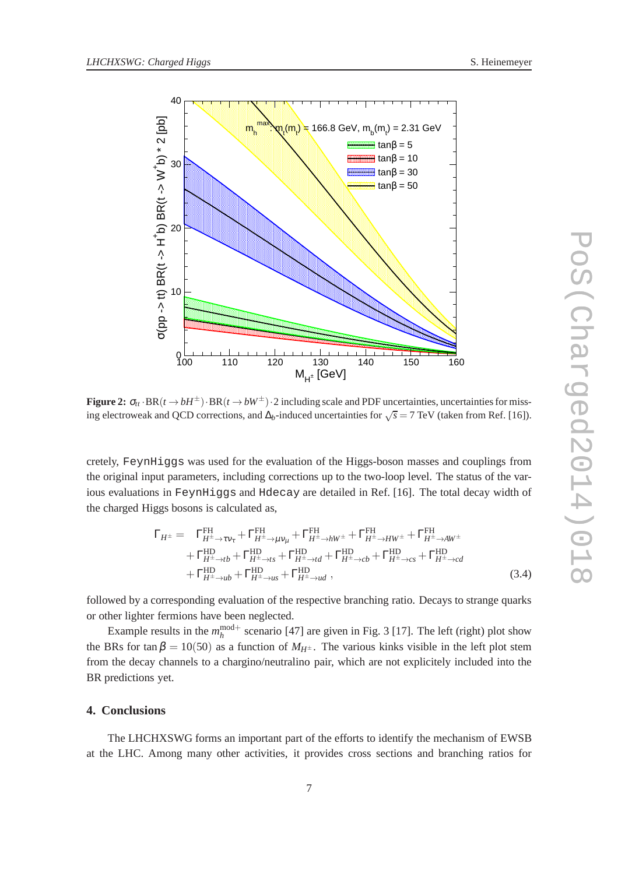

**Figure 2:**  $\sigma_t \cdot BR(t \to bH^{\pm}) \cdot BR(t \to bW^{\pm}) \cdot 2$  including scale and PDF uncertainties, uncertainties for missing electroweak and QCD corrections, and <sup>∆</sup>*b*-induced uncertainties for <sup>√</sup> *s* = 7 TeV (taken from Ref. [16]).

cretely, FeynHiggs was used for the evaluation of the Higgs-boson masses and couplings from the original input parameters, including corrections up to the two-loop level. The status of the various evaluations in FeynHiggs and Hdecay are detailed in Ref. [16]. The total decay width of the charged Higgs bosons is calculated as,

$$
\Gamma_{H^{\pm}} = \Gamma_{H^{\pm} \to \tau \nu_{\tau}}^{\text{FH}} + \Gamma_{H^{\pm} \to \mu \nu_{\mu}}^{\text{FH}} + \Gamma_{H^{\pm} \to h W^{\pm}}^{\text{FH}} + \Gamma_{H^{\pm} \to H W^{\pm}}^{\text{FH}} + \Gamma_{H^{\pm} \to \tau b}^{\text{HD}} + \Gamma_{H^{\pm} \to t b}^{\text{HD}} + \Gamma_{H^{\pm} \to t s}^{\text{HD}} + \Gamma_{H^{\pm} \to t d}^{\text{HD}} + \Gamma_{H^{\pm} \to u b}^{\text{HD}} + \Gamma_{H^{\pm} \to u s}^{\text{HD}} + \Gamma_{H^{\pm} \to u s}^{\text{HD}} + \Gamma_{H^{\pm} \to u d}^{\text{HD}},
$$
\n(3.4)

followed by a corresponding evaluation of the respective branching ratio. Decays to strange quarks or other lighter fermions have been neglected.

Example results in the  $m_h^{\text{mod}+}$  scenario [47] are given in Fig. 3 [17]. The left (right) plot show the BRs for tan  $\beta = 10(50)$  as a function of  $M_{H^{\pm}}$ . The various kinks visible in the left plot stem from the decay channels to a chargino/neutralino pair, which are not explicitely included into the BR predictions yet.

#### **4. Conclusions**

The LHCHXSWG forms an important part of the efforts to identify the mechanism of EWSB at the LHC. Among many other activities, it provides cross sections and branching ratios for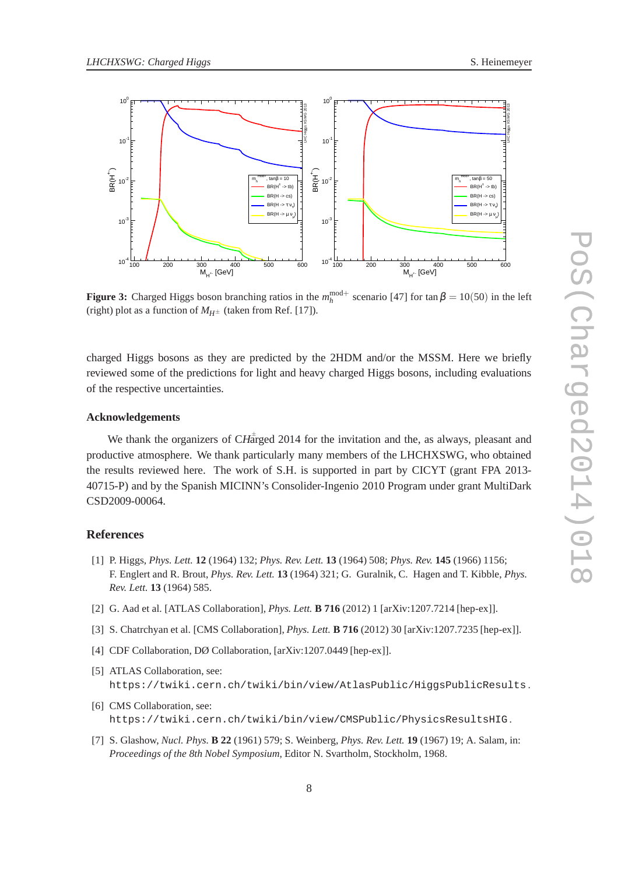

**Figure 3:** Charged Higgs boson branching ratios in the  $m_h^{\text{mod}+}$  scenario [47] for tan  $\beta = 10(50)$  in the left (right) plot as a function of  $M_{H^{\pm}}$  (taken from Ref. [17]).

charged Higgs bosons as they are predicted by the 2HDM and/or the MSSM. Here we briefly reviewed some of the predictions for light and heavy charged Higgs bosons, including evaluations of the respective uncertainties.

#### **Acknowledgements**

We thank the organizers of CH<sup>t</sup> arged 2014 for the invitation and the, as always, pleasant and productive atmosphere. We thank particularly many members of the LHCHXSWG, who obtained the results reviewed here. The work of S.H. is supported in part by CICYT (grant FPA 2013- 40715-P) and by the Spanish MICINN's Consolider-Ingenio 2010 Program under grant MultiDark CSD2009-00064.

#### **References**

- [1] P. Higgs, *Phys. Lett.* **12** (1964) 132; *Phys. Rev. Lett.* **13** (1964) 508; *Phys. Rev.* **145** (1966) 1156; F. Englert and R. Brout, *Phys. Rev. Lett.* **13** (1964) 321; G. Guralnik, C. Hagen and T. Kibble, *Phys. Rev. Lett.* **13** (1964) 585.
- [2] G. Aad et al. [ATLAS Collaboration], *Phys. Lett.* **B 716** (2012) 1 [arXiv:1207.7214 [hep-ex]].
- [3] S. Chatrchyan et al. [CMS Collaboration], *Phys. Lett.* **B 716** (2012) 30 [arXiv:1207.7235 [hep-ex]].
- [4] CDF Collaboration, DØ Collaboration, [arXiv:1207.0449 [hep-ex]].
- [5] ATLAS Collaboration, see: https://twiki.cern.ch/twiki/bin/view/AtlasPublic/HiggsPublicResults .
- [6] CMS Collaboration, see: https://twiki.cern.ch/twiki/bin/view/CMSPublic/PhysicsResultsHIG .
- [7] S. Glashow, *Nucl. Phys.* **B 22** (1961) 579; S. Weinberg, *Phys. Rev. Lett.* **19** (1967) 19; A. Salam, in: *Proceedings of the 8th Nobel Symposium*, Editor N. Svartholm, Stockholm, 1968.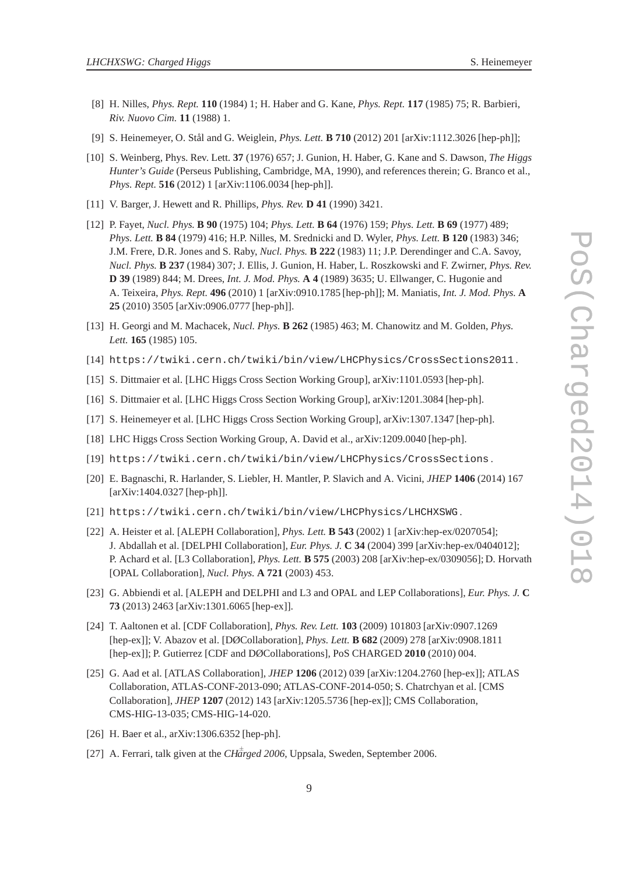- [8] H. Nilles, *Phys. Rept.* **110** (1984) 1; H. Haber and G. Kane, *Phys. Rept.* **117** (1985) 75; R. Barbieri, *Riv. Nuovo Cim.* **11** (1988) 1.
- [9] S. Heinemeyer, O. Stål and G. Weiglein, *Phys. Lett.* **B 710** (2012) 201 [arXiv:1112.3026 [hep-ph]];
- [10] S. Weinberg, Phys. Rev. Lett. **37** (1976) 657; J. Gunion, H. Haber, G. Kane and S. Dawson, *The Higgs Hunter's Guide* (Perseus Publishing, Cambridge, MA, 1990), and references therein; G. Branco et al., *Phys. Rept.* **516** (2012) 1 [arXiv:1106.0034 [hep-ph]].
- [11] V. Barger, J. Hewett and R. Phillips, *Phys. Rev.* **D 41** (1990) 3421.
- [12] P. Fayet, *Nucl. Phys.* **B 90** (1975) 104; *Phys. Lett.* **B 64** (1976) 159; *Phys. Lett.* **B 69** (1977) 489; *Phys. Lett.* **B 84** (1979) 416; H.P. Nilles, M. Srednicki and D. Wyler, *Phys. Lett.* **B 120** (1983) 346; J.M. Frere, D.R. Jones and S. Raby, *Nucl. Phys.* **B 222** (1983) 11; J.P. Derendinger and C.A. Savoy, *Nucl. Phys.* **B 237** (1984) 307; J. Ellis, J. Gunion, H. Haber, L. Roszkowski and F. Zwirner, *Phys. Rev.* **D 39** (1989) 844; M. Drees, *Int. J. Mod. Phys.* **A 4** (1989) 3635; U. Ellwanger, C. Hugonie and A. Teixeira, *Phys. Rept.* **496** (2010) 1 [arXiv:0910.1785 [hep-ph]]; M. Maniatis, *Int. J. Mod. Phys.* **A 25** (2010) 3505 [arXiv:0906.0777 [hep-ph]].
- [13] H. Georgi and M. Machacek, *Nucl. Phys.* **B 262** (1985) 463; M. Chanowitz and M. Golden, *Phys. Lett.* **165** (1985) 105.
- [14] https://twiki.cern.ch/twiki/bin/view/LHCPhysics/CrossSections2011 .
- [15] S. Dittmaier et al. [LHC Higgs Cross Section Working Group], arXiv:1101.0593 [hep-ph].
- [16] S. Dittmaier et al. [LHC Higgs Cross Section Working Group], arXiv:1201.3084 [hep-ph].
- [17] S. Heinemeyer et al. [LHC Higgs Cross Section Working Group], arXiv:1307.1347 [hep-ph].
- [18] LHC Higgs Cross Section Working Group, A. David et al., arXiv:1209.0040 [hep-ph].
- [19] https://twiki.cern.ch/twiki/bin/view/LHCPhysics/CrossSections .
- [20] E. Bagnaschi, R. Harlander, S. Liebler, H. Mantler, P. Slavich and A. Vicini, *JHEP* **1406** (2014) 167 [arXiv:1404.0327 [hep-ph]].
- [21] https://twiki.cern.ch/twiki/bin/view/LHCPhysics/LHCHXSWG .
- [22] A. Heister et al. [ALEPH Collaboration], *Phys. Lett.* **B 543** (2002) 1 [arXiv:hep-ex/0207054]; J. Abdallah et al. [DELPHI Collaboration], *Eur. Phys. J.* **C 34** (2004) 399 [arXiv:hep-ex/0404012]; P. Achard et al. [L3 Collaboration], *Phys. Lett.* **B 575** (2003) 208 [arXiv:hep-ex/0309056]; D. Horvath [OPAL Collaboration], *Nucl. Phys.* **A 721** (2003) 453.
- [23] G. Abbiendi et al. [ALEPH and DELPHI and L3 and OPAL and LEP Collaborations], *Eur. Phys. J.* **C 73** (2013) 2463 [arXiv:1301.6065 [hep-ex]].
- [24] T. Aaltonen et al. [CDF Collaboration], *Phys. Rev. Lett.* **103** (2009) 101803 [arXiv:0907.1269 [hep-ex]]; V. Abazov et al. [DØCollaboration], *Phys. Lett.* **B 682** (2009) 278 [arXiv:0908.1811 [hep-ex]]; P. Gutierrez [CDF and DØCollaborations], PoS CHARGED **2010** (2010) 004.
- [25] G. Aad et al. [ATLAS Collaboration], *JHEP* **1206** (2012) 039 [arXiv:1204.2760 [hep-ex]]; ATLAS Collaboration, ATLAS-CONF-2013-090; ATLAS-CONF-2014-050; S. Chatrchyan et al. [CMS Collaboration], *JHEP* **1207** (2012) 143 [arXiv:1205.5736 [hep-ex]]; CMS Collaboration, CMS-HIG-13-035; CMS-HIG-14-020.
- [26] H. Baer et al., arXiv:1306.6352 [hep-ph].
- [27] A. Ferrari, talk given at the *CH*arged 2006, Uppsala, Sweden, September 2006.